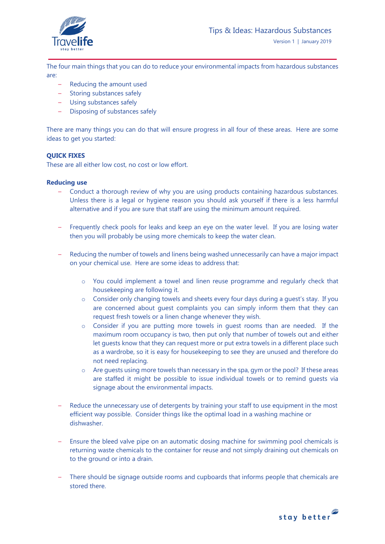

The four main things that you can do to reduce your environmental impacts from hazardous substances are:

- Reducing the amount used
- Storing substances safely
- Using substances safely
- Disposing of substances safely

There are many things you can do that will ensure progress in all four of these areas. Here are some ideas to get you started:

## **QUICK FIXES**

These are all either low cost, no cost or low effort.

## **Reducing use**

- Conduct a thorough review of why you are using products containing hazardous substances. Unless there is a legal or hygiene reason you should ask yourself if there is a less harmful alternative and if you are sure that staff are using the minimum amount required.
- Frequently check pools for leaks and keep an eye on the water level. If you are losing water then you will probably be using more chemicals to keep the water clean.
- Reducing the number of towels and linens being washed unnecessarily can have a major impact on your chemical use. Here are some ideas to address that:
	- $\circ$  You could implement a towel and linen reuse programme and regularly check that housekeeping are following it.
	- o Consider only changing towels and sheets every four days during a guest's stay. If you are concerned about guest complaints you can simply inform them that they can request fresh towels or a linen change whenever they wish.
	- o Consider if you are putting more towels in guest rooms than are needed. If the maximum room occupancy is two, then put only that number of towels out and either let guests know that they can request more or put extra towels in a different place such as a wardrobe, so it is easy for housekeeping to see they are unused and therefore do not need replacing.
	- $\circ$  Are quests using more towels than necessary in the spa, gym or the pool? If these areas are staffed it might be possible to issue individual towels or to remind guests via signage about the environmental impacts.
- Reduce the unnecessary use of detergents by training your staff to use equipment in the most efficient way possible. Consider things like the optimal load in a washing machine or dishwasher.
- Ensure the bleed valve pipe on an automatic dosing machine for swimming pool chemicals is returning waste chemicals to the container for reuse and not simply draining out chemicals on to the ground or into a drain.
- There should be signage outside rooms and cupboards that informs people that chemicals are stored there.

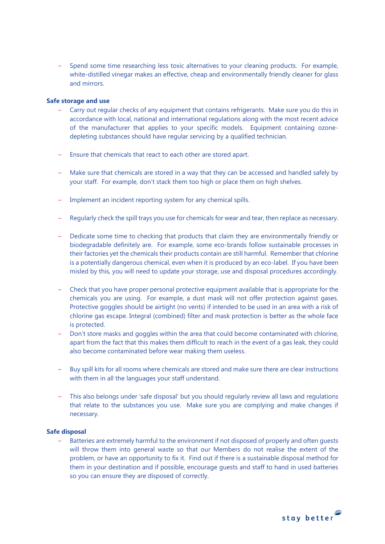– Spend some time researching less toxic alternatives to your cleaning products. For example, white-distilled vinegar makes an effective, cheap and environmentally friendly cleaner for glass and mirrors.

## **Safe storage and use**

- Carry out regular checks of any equipment that contains refrigerants. Make sure you do this in accordance with local, national and international regulations along with the most recent advice of the manufacturer that applies to your specific models. Equipment containing ozonedepleting substances should have regular servicing by a qualified technician.
- Ensure that chemicals that react to each other are stored apart.
- Make sure that chemicals are stored in a way that they can be accessed and handled safely by your staff. For example, don't stack them too high or place them on high shelves.
- Implement an incident reporting system for any chemical spills.
- Regularly check the spill trays you use for chemicals for wear and tear, then replace as necessary.
- Dedicate some time to checking that products that claim they are environmentally friendly or biodegradable definitely are. For example, some eco-brands follow sustainable processes in their factories yet the chemicals their products contain are still harmful. Remember that chlorine is a potentially dangerous chemical, even when it is produced by an eco-label. If you have been misled by this, you will need to update your storage, use and disposal procedures accordingly.
- Check that you have proper personal protective equipment available that is appropriate for the chemicals you are using. For example, a dust mask will not offer protection against gases. Protective goggles should be airtight (no vents) if intended to be used in an area with a risk of chlorine gas escape. Integral (combined) filter and mask protection is better as the whole face is protected.
- Don't store masks and goggles within the area that could become contaminated with chlorine, apart from the fact that this makes them difficult to reach in the event of a gas leak, they could also become contaminated before wear making them useless.
- Buy spill kits for all rooms where chemicals are stored and make sure there are clear instructions with them in all the languages your staff understand.
- This also belongs under 'safe disposal' but you should regularly review all laws and regulations that relate to the substances you use. Make sure you are complying and make changes if necessary.

#### **Safe disposal**

– Batteries are extremely harmful to the environment if not disposed of properly and often guests will throw them into general waste so that our Members do not realise the extent of the problem, or have an opportunity to fix it. Find out if there is a sustainable disposal method for them in your destination and if possible, encourage guests and staff to hand in used batteries so you can ensure they are disposed of correctly.